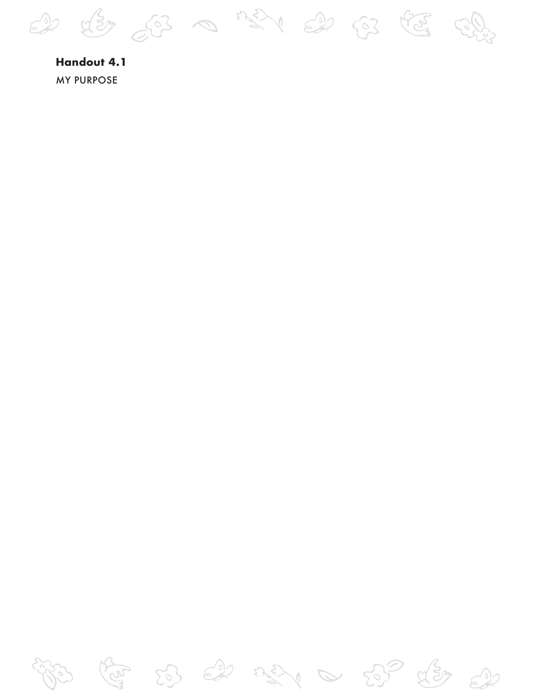2 x3 0 321 2 63 73 4

**Handout 4.1 MY PURPOSE** 

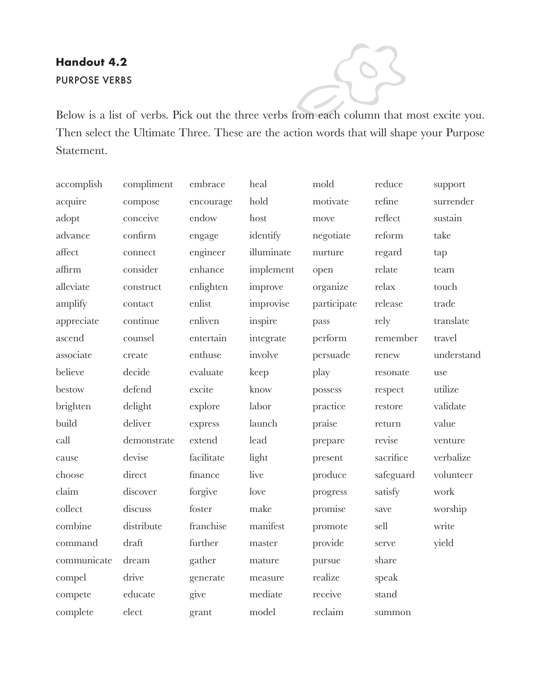## **Handout 4.2** PURPOSE VERBS

Below is a list of verbs. Pick out the three verbs from each column that most excite you. Then select the Ultimate Three. These are the action words that will shape your Purpose Statement.

| accomplish  | compliment  | embrace    | heal               | mold        | reduce    | support    |
|-------------|-------------|------------|--------------------|-------------|-----------|------------|
| acquire     | compose     | encourage  | $_{\mathrm{hold}}$ | motivate    | refine    | surrender  |
| adopt       | conceive    | endow      | host               | move        | reflect   | sustain    |
| advance     | confirm     | engage     | identify           | negotiate   | reform    | take       |
| affect      | connect     | engineer   | illuminate         | nurture     | regard    | tap        |
| affirm      | consider    | enhance    | implement          | open        | relate    | team       |
| alleviate   | construct   | enlighten  | improve            | organize    | relax     | touch      |
| amplify     | contact     | enlist     | improvise          | participate | release   | trade      |
| appreciate  | continue    | enliven    | inspire            | pass        | rely      | translate  |
| ascend      | counsel     | entertain  | integrate          | perform     | remember  | travel     |
| associate   | create      | enthuse    | involve            | persuade    | renew     | understand |
| believe     | decide      | evaluate   | keep               | play        | resonate  | use        |
| bestow      | defend      | excite     | know               | possess     | respect   | utilize    |
| brighten    | delight     | explore    | labor              | practice    | restore   | validate   |
| build       | deliver     | express    | launch             | praise      | return    | value      |
| call        | demonstrate | extend     | lead               | prepare     | revise    | venture    |
| cause       | devise      | facilitate | light              | present     | sacrifice | verbalize  |
| choose      | direct      | finance    | live               | produce     | safeguard | volunteer  |
| claim       | discover    | forgive    | love               | progress    | satisfy   | work       |
| collect     | discuss     | foster     | make               | promise     | save      | worship    |
| combine     | distribute  | franchise  | manifest           | promote     | sell      | write      |
| command     | draft       | further    | master             | provide     | serve     | yield      |
| communicate | dream       | gather     | mature             | pursue      | share     |            |
| compel      | drive       | generate   | measure            | realize     | speak     |            |
| compete     | educate     | give       | mediate            | receive     | stand     |            |
| complete    | elect       | grant      | model              | reclaim     | summon    |            |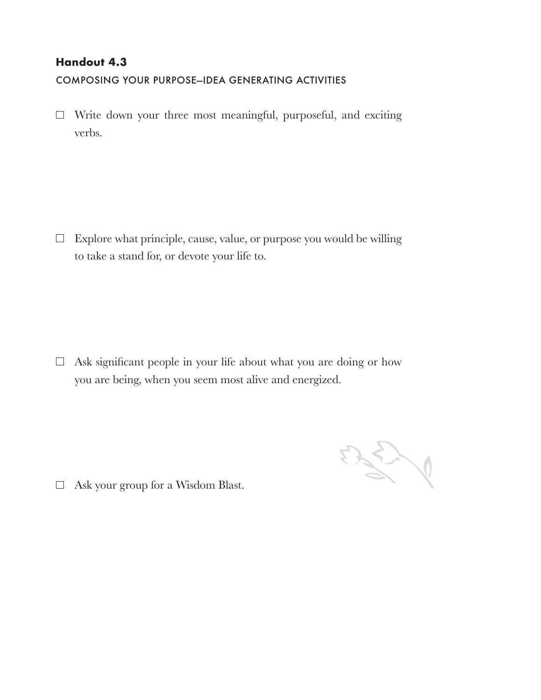### **Handout 4.3**

COMPOSING YOUR PURPOSE-IDEA GENERATING ACTIVITIES

 $\Box$  Write down your three most meaningful, purposeful, and exciting verbs.

 $\Box$  Explore what principle, cause, value, or purpose you would be willing to take a stand for, or devote your life to.

 $\Box$  Ask significant people in your life about what you are doing or how you are being, when you seem most alive and energized.

250

 $\Box$  Ask your group for a Wisdom Blast.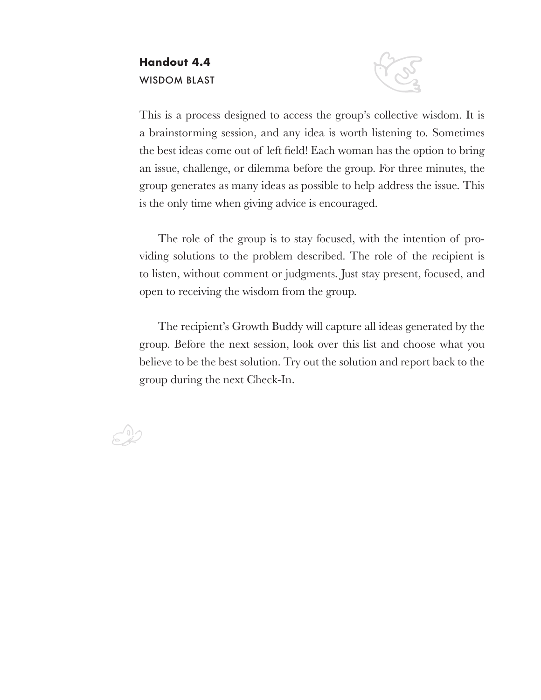### **Handout 4.4** WISDOM BLAST



This is a process designed to access the group's collective wisdom. It is a brainstorming session, and any idea is worth listening to. Sometimes the best ideas come out of left field! Each woman has the option to bring an issue, challenge, or dilemma before the group. For three minutes, the group generates as many ideas as possible to help address the issue. This is the only time when giving advice is encouraged.

The role of the group is to stay focused, with the intention of providing solutions to the problem described. The role of the recipient is to listen, without comment or judgments. Just stay present, focused, and open to receiving the wisdom from the group.

The recipient's Growth Buddy will capture all ideas generated by the group. Before the next session, look over this list and choose what you believe to be the best solution. Try out the solution and report back to the group during the next Check-In.

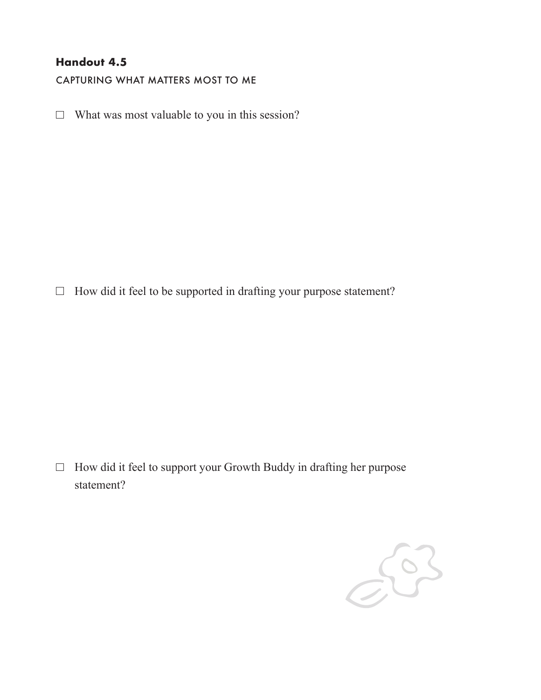### **Handout 4.5**

CAPTURING WHAT MATTERS MOST TO ME

 $\Box$  What was most valuable to you in this session?

 $\Box$  How did it feel to be supported in drafting your purpose statement?

 $\Box$  How did it feel to support your Growth Buddy in drafting her purpose statement?

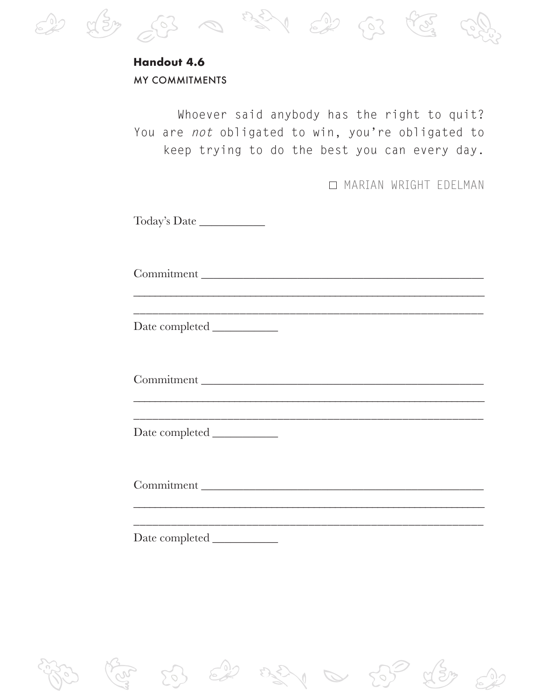

# **Handout 4.6** MY COMMITMENTS

Whoever said anybody has the right to quit? You are *not* obligated to win, you're obligated to keep trying to do the best you can every day.

MARIAN WRIGHT EDELMAN

Today's Date \_\_\_\_\_\_\_\_\_\_\_

Commitment \_\_\_\_\_\_\_\_\_\_\_\_\_\_\_\_\_\_\_\_\_\_\_\_\_\_\_\_\_\_\_\_\_\_\_\_\_\_\_\_\_\_\_\_\_\_\_

\_\_\_\_\_\_\_\_\_\_\_\_\_\_\_\_\_\_\_\_\_\_\_\_\_\_\_\_\_\_\_\_\_\_\_\_\_\_\_\_\_\_\_\_\_\_\_\_\_\_\_\_\_\_\_\_

\_\_\_\_\_\_\_\_\_\_\_\_\_\_\_\_\_\_\_\_\_\_\_\_\_\_\_\_\_\_\_\_\_\_\_\_\_\_\_\_\_\_\_\_\_\_\_\_\_\_\_\_\_\_\_\_\_\_\_\_\_\_\_\_\_\_

Date completed \_\_\_\_\_\_\_\_\_\_\_

Commitment

\_\_\_\_\_\_\_\_\_\_\_\_\_\_\_\_\_\_\_\_\_\_\_\_\_\_\_\_\_\_\_\_\_\_\_\_\_\_\_\_\_\_\_\_\_\_\_\_\_\_\_\_\_\_\_\_\_\_\_\_\_\_\_\_\_\_ \_\_\_\_\_\_\_\_\_\_\_\_\_\_\_\_\_\_\_\_\_\_\_\_\_\_\_\_\_\_\_\_\_\_\_\_\_\_\_\_\_\_\_\_\_\_\_\_\_\_\_\_\_\_\_\_

Date completed \_\_\_\_\_\_\_\_\_\_\_

Commitment \_\_\_\_\_\_\_\_\_\_\_\_\_\_\_\_\_\_\_\_\_\_\_\_\_\_\_\_\_\_\_\_\_\_\_\_\_\_\_\_\_\_\_\_\_\_\_

\_\_\_\_\_\_\_\_\_\_\_\_\_\_\_\_\_\_\_\_\_\_\_\_\_\_\_\_\_\_\_\_\_\_\_\_\_\_\_\_\_\_\_\_\_\_\_\_\_\_\_\_\_\_\_\_\_\_\_\_\_\_\_\_\_\_ \_\_\_\_\_\_\_\_\_\_\_\_\_\_\_\_\_\_\_\_\_\_\_\_\_\_\_\_\_\_\_\_\_\_\_\_\_\_\_\_\_\_\_\_\_\_\_\_\_\_\_\_\_\_\_\_

Date completed \_\_\_\_\_\_\_\_\_\_\_

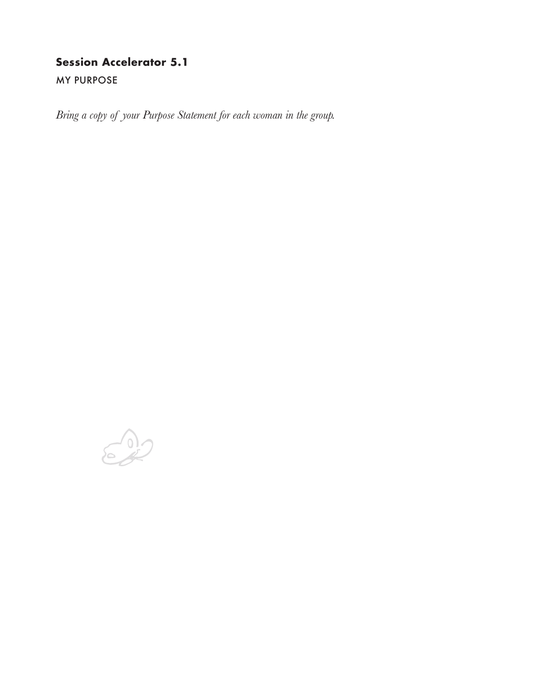## **Session Accelerator 5.1**

**MY PURPOSE** 

*Bring a copy of your Purpose Statement for each woman in the group.*

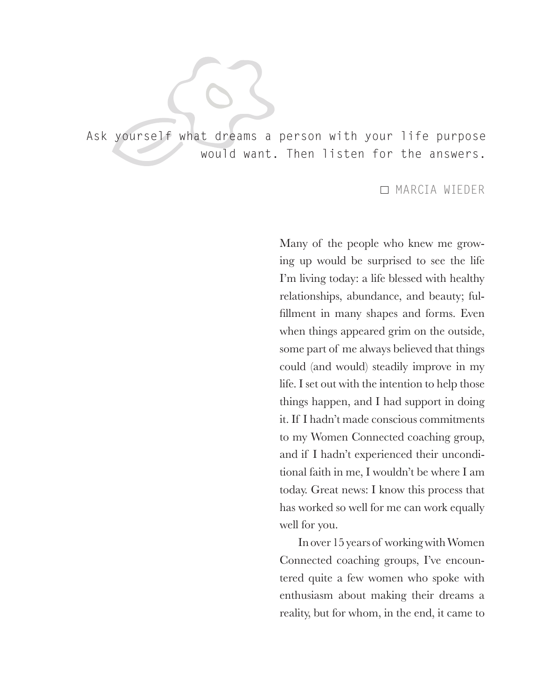Ask yourself what dreams a person with your life purpose would want. Then listen for the answers.

#### MARCIA WIEDER

Many of the people who knew me growing up would be surprised to see the life I'm living today: a life blessed with healthy relationships, abundance, and beauty; fulfillment in many shapes and forms. Even when things appeared grim on the outside, some part of me always believed that things could (and would) steadily improve in my life. I set out with the intention to help those things happen, and I had support in doing it. If I hadn't made conscious commitments to my Women Connected coaching group, and if I hadn't experienced their unconditional faith in me, I wouldn't be where I am today. Great news: I know this process that has worked so well for me can work equally well for you.

In over 15 years of working with Women Connected coaching groups, I've encountered quite a few women who spoke with enthusiasm about making their dreams a reality, but for whom, in the end, it came to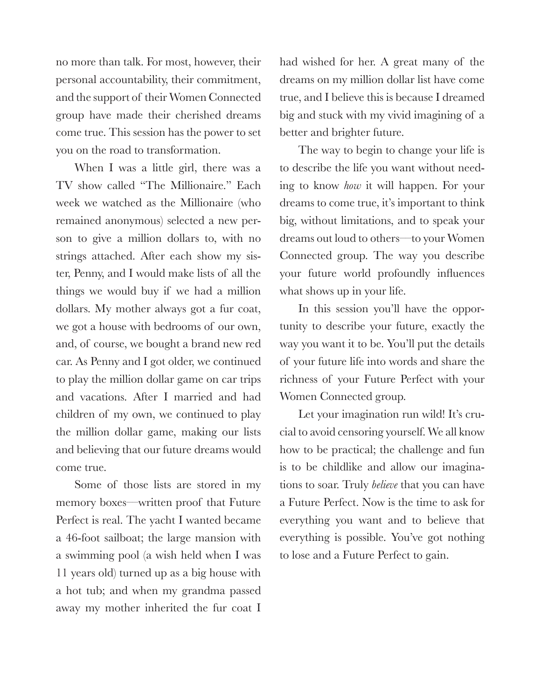no more than talk. For most, however, their personal accountability, their commitment, and the support of their Women Connected group have made their cherished dreams come true. This session has the power to set you on the road to transformation.

When I was a little girl, there was a TV show called "The Millionaire." Each week we watched as the Millionaire (who remained anonymous) selected a new person to give a million dollars to, with no strings attached. After each show my sister, Penny, and I would make lists of all the things we would buy if we had a million dollars. My mother always got a fur coat, we got a house with bedrooms of our own, and, of course, we bought a brand new red car. As Penny and I got older, we continued to play the million dollar game on car trips and vacations. After I married and had children of my own, we continued to play the million dollar game, making our lists and believing that our future dreams would come true.

Some of those lists are stored in my memory boxes––written proof that Future Perfect is real. The yacht I wanted became a 46-foot sailboat; the large mansion with a swimming pool (a wish held when I was 11 years old) turned up as a big house with a hot tub; and when my grandma passed away my mother inherited the fur coat I

had wished for her. A great many of the dreams on my million dollar list have come true, and I believe this is because I dreamed big and stuck with my vivid imagining of a better and brighter future.

The way to begin to change your life is to describe the life you want without needing to know *how* it will happen. For your dreams to come true, it's important to think big, without limitations, and to speak your dreams out loud to others––to your Women Connected group. The way you describe your future world profoundly influences what shows up in your life.

In this session you'll have the opportunity to describe your future, exactly the way you want it to be. You'll put the details of your future life into words and share the richness of your Future Perfect with your Women Connected group.

Let your imagination run wild! It's crucial to avoid censoring yourself. We all know how to be practical; the challenge and fun is to be childlike and allow our imaginations to soar. Truly *believe* that you can have a Future Perfect. Now is the time to ask for everything you want and to believe that everything is possible. You've got nothing to lose and a Future Perfect to gain.